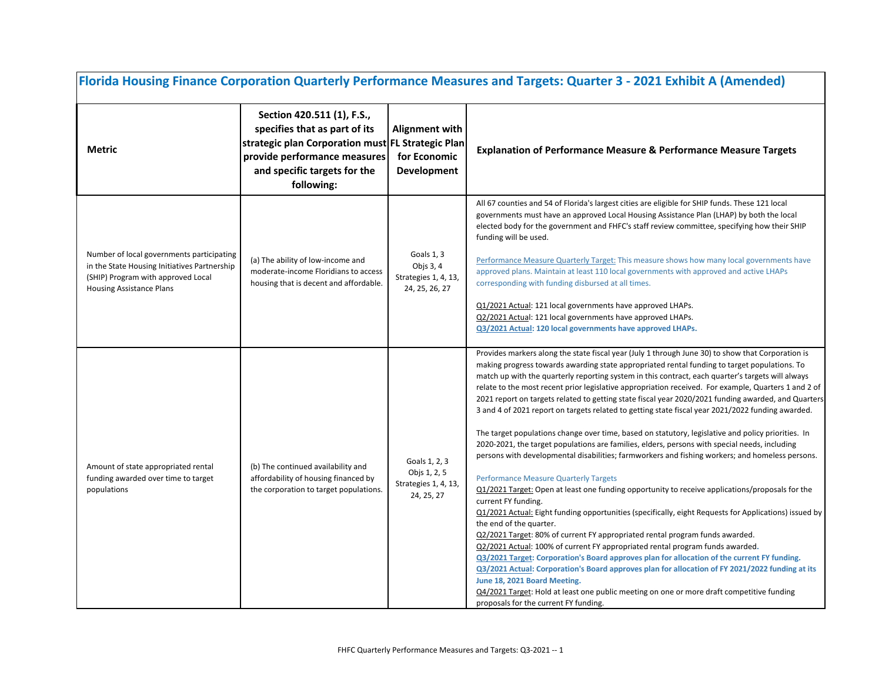| Florida Housing Finance Corporation Quarterly Performance Measures and Targets: Quarter 3 - 2021 Exhibit A (Amended)                                               |                                                                                                                                                                                                |                                                                     |                                                                                                                                                                                                                                                                                                                                                                                                                                                                                                                                                                                                                                                                                                                                                                                                                                                                                                                                                                                                                                                                                                                                                                                                                                                                                                                                                                                                                                                                                                                                                                                                                                                                                                                                                                                                    |  |
|--------------------------------------------------------------------------------------------------------------------------------------------------------------------|------------------------------------------------------------------------------------------------------------------------------------------------------------------------------------------------|---------------------------------------------------------------------|----------------------------------------------------------------------------------------------------------------------------------------------------------------------------------------------------------------------------------------------------------------------------------------------------------------------------------------------------------------------------------------------------------------------------------------------------------------------------------------------------------------------------------------------------------------------------------------------------------------------------------------------------------------------------------------------------------------------------------------------------------------------------------------------------------------------------------------------------------------------------------------------------------------------------------------------------------------------------------------------------------------------------------------------------------------------------------------------------------------------------------------------------------------------------------------------------------------------------------------------------------------------------------------------------------------------------------------------------------------------------------------------------------------------------------------------------------------------------------------------------------------------------------------------------------------------------------------------------------------------------------------------------------------------------------------------------------------------------------------------------------------------------------------------------|--|
| Metric                                                                                                                                                             | Section 420.511 (1), F.S.,<br>specifies that as part of its<br>strategic plan Corporation must FL Strategic Plan<br>provide performance measures<br>and specific targets for the<br>following: | <b>Alignment with</b><br>for Economic<br><b>Development</b>         | <b>Explanation of Performance Measure &amp; Performance Measure Targets</b>                                                                                                                                                                                                                                                                                                                                                                                                                                                                                                                                                                                                                                                                                                                                                                                                                                                                                                                                                                                                                                                                                                                                                                                                                                                                                                                                                                                                                                                                                                                                                                                                                                                                                                                        |  |
| Number of local governments participating<br>in the State Housing Initiatives Partnership<br>(SHIP) Program with approved Local<br><b>Housing Assistance Plans</b> | (a) The ability of low-income and<br>moderate-income Floridians to access<br>housing that is decent and affordable.                                                                            | Goals 1, 3<br>Objs 3, 4<br>Strategies 1, 4, 13,<br>24, 25, 26, 27   | All 67 counties and 54 of Florida's largest cities are eligible for SHIP funds. These 121 local<br>governments must have an approved Local Housing Assistance Plan (LHAP) by both the local<br>elected body for the government and FHFC's staff review committee, specifying how their SHIP<br>funding will be used.<br>Performance Measure Quarterly Target: This measure shows how many local governments have<br>approved plans. Maintain at least 110 local governments with approved and active LHAPs<br>corresponding with funding disbursed at all times.<br>Q1/2021 Actual: 121 local governments have approved LHAPs.<br>Q2/2021 Actual: 121 local governments have approved LHAPs.<br>Q3/2021 Actual: 120 local governments have approved LHAPs.                                                                                                                                                                                                                                                                                                                                                                                                                                                                                                                                                                                                                                                                                                                                                                                                                                                                                                                                                                                                                                         |  |
| Amount of state appropriated rental<br>funding awarded over time to target<br>populations                                                                          | (b) The continued availability and<br>affordability of housing financed by<br>the corporation to target populations.                                                                           | Goals 1, 2, 3<br>Objs 1, 2, 5<br>Strategies 1, 4, 13,<br>24, 25, 27 | Provides markers along the state fiscal year (July 1 through June 30) to show that Corporation is<br>making progress towards awarding state appropriated rental funding to target populations. To<br>match up with the quarterly reporting system in this contract, each quarter's targets will always<br>relate to the most recent prior legislative appropriation received. For example, Quarters 1 and 2 of<br>2021 report on targets related to getting state fiscal year 2020/2021 funding awarded, and Quarters<br>3 and 4 of 2021 report on targets related to getting state fiscal year 2021/2022 funding awarded.<br>The target populations change over time, based on statutory, legislative and policy priorities. In<br>2020-2021, the target populations are families, elders, persons with special needs, including<br>persons with developmental disabilities; farmworkers and fishing workers; and homeless persons.<br><b>Performance Measure Quarterly Targets</b><br>Q1/2021 Target: Open at least one funding opportunity to receive applications/proposals for the<br>current FY funding.<br>Q1/2021 Actual: Eight funding opportunities (specifically, eight Requests for Applications) issued by<br>the end of the quarter.<br>Q2/2021 Target: 80% of current FY appropriated rental program funds awarded.<br>Q2/2021 Actual: 100% of current FY appropriated rental program funds awarded.<br><b>Q3/2021 Target: Corporation's Board approves plan for allocation of the current FY funding.</b><br>Q3/2021 Actual: Corporation's Board approves plan for allocation of FY 2021/2022 funding at its<br>June 18, 2021 Board Meeting.<br>Q4/2021 Target: Hold at least one public meeting on one or more draft competitive funding<br>proposals for the current FY funding. |  |